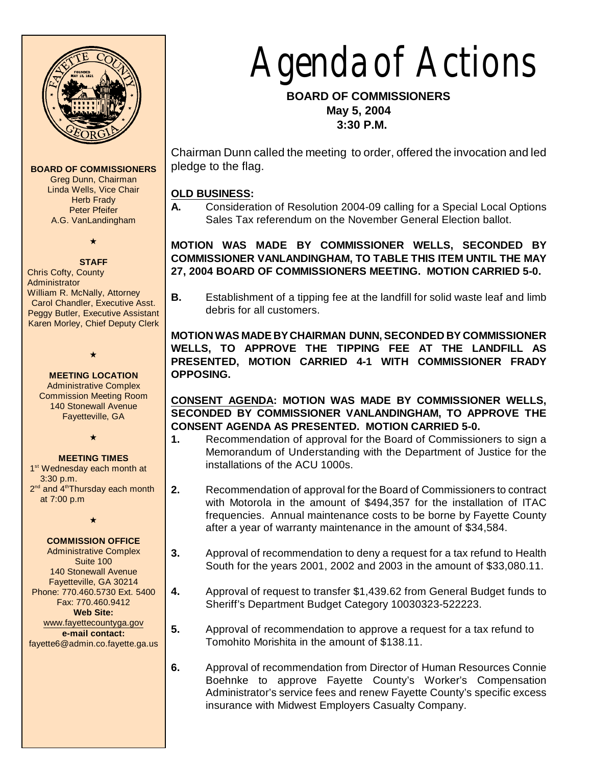

**BOARD OF COMMISSIONERS** Greg Dunn, Chairman Linda Wells, Vice Chair **Herb Frady** Peter Pfeifer A.G. VanLandingham

 $\star$ 

#### **STAFF**

Chris Cofty, County **Administrator** William R. McNally, Attorney Carol Chandler, Executive Asst. Peggy Butler, Executive Assistant Karen Morley, Chief Deputy Clerk

**MEETING LOCATION** Administrative Complex Commission Meeting Room 140 Stonewall Avenue Fayetteville, GA

 $\star$ 

#### **MEETING TIMES**

 $\star$ 

1<sup>st</sup> Wednesday each month at 3:30 p.m. 2<sup>nd</sup> and 4<sup>th</sup>Thursday each month at 7:00 p.m

 $\star$ 

# **COMMISSION OFFICE**

Administrative Complex Suite 100 140 Stonewall Avenue Fayetteville, GA 30214 Phone: 770.460.5730 Ext. 5400 Fax: 770.460.9412 **Web Site:** [www.fayettecountyga.gov](http://www.admin.co.fayette.ga.us) **e-mail contact:** fayette6@admin.co.fayette.ga.us

# Agenda of Actions

 **BOARD OF COMMISSIONERS May 5, 2004 3:30 P.M.**

Chairman Dunn called the meeting to order, offered the invocation and led pledge to the flag.

# **OLD BUSINESS:**

**A.** Consideration of Resolution 2004-09 calling for a Special Local Options Sales Tax referendum on the November General Election ballot.

**MOTION WAS MADE BY COMMISSIONER WELLS, SECONDED BY COMMISSIONER VANLANDINGHAM, TO TABLE THIS ITEM UNTIL THE MAY 27, 2004 BOARD OF COMMISSIONERS MEETING. MOTION CARRIED 5-0.**

**B.** Establishment of a tipping fee at the landfill for solid waste leaf and limb debris for all customers.

**MOTION WAS MADE BYCHAIRMAN DUNN, SECONDED BY COMMISSIONER WELLS, TO APPROVE THE TIPPING FEE AT THE LANDFILL AS PRESENTED, MOTION CARRIED 4-1 WITH COMMISSIONER FRADY OPPOSING.**

**CONSENT AGENDA: MOTION WAS MADE BY COMMISSIONER WELLS, SECONDED BY COMMISSIONER VANLANDINGHAM, TO APPROVE THE CONSENT AGENDA AS PRESENTED. MOTION CARRIED 5-0.**

- **1.** Recommendation of approval for the Board of Commissioners to sign a Memorandum of Understanding with the Department of Justice for the installations of the ACU 1000s.
- **2.** Recommendation of approval for the Board of Commissioners to contract with Motorola in the amount of \$494,357 for the installation of ITAC frequencies. Annual maintenance costs to be borne by Fayette County after a year of warranty maintenance in the amount of \$34,584.
- **3.** Approval of recommendation to deny a request for a tax refund to Health South for the years 2001, 2002 and 2003 in the amount of \$33,080.11.
- **4.** Approval of request to transfer \$1,439.62 from General Budget funds to Sheriff's Department Budget Category 10030323-522223.
- **5.** Approval of recommendation to approve a request for a tax refund to Tomohito Morishita in the amount of \$138.11.
- **6.** Approval of recommendation from Director of Human Resources Connie Boehnke to approve Fayette County's Worker's Compensation Administrator's service fees and renew Fayette County's specific excess insurance with Midwest Employers Casualty Company.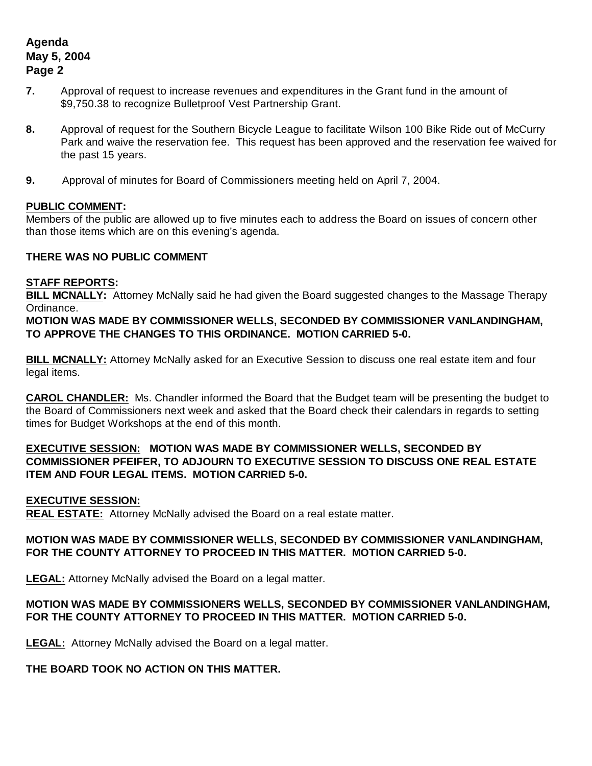# **Agenda May 5, 2004 Page 2**

- **7.** Approval of request to increase revenues and expenditures in the Grant fund in the amount of \$9,750.38 to recognize Bulletproof Vest Partnership Grant.
- **8.** Approval of request for the Southern Bicycle League to facilitate Wilson 100 Bike Ride out of McCurry Park and waive the reservation fee. This request has been approved and the reservation fee waived for the past 15 years.
- **9.** Approval of minutes for Board of Commissioners meeting held on April 7, 2004.

# **PUBLIC COMMENT:**

Members of the public are allowed up to five minutes each to address the Board on issues of concern other than those items which are on this evening's agenda.

#### **THERE WAS NO PUBLIC COMMENT**

#### **STAFF REPORTS:**

**BILL MCNALLY:** Attorney McNally said he had given the Board suggested changes to the Massage Therapy Ordinance.

**MOTION WAS MADE BY COMMISSIONER WELLS, SECONDED BY COMMISSIONER VANLANDINGHAM, TO APPROVE THE CHANGES TO THIS ORDINANCE. MOTION CARRIED 5-0.**

**BILL MCNALLY:** Attorney McNally asked for an Executive Session to discuss one real estate item and four legal items.

**CAROL CHANDLER:** Ms. Chandler informed the Board that the Budget team will be presenting the budget to the Board of Commissioners next week and asked that the Board check their calendars in regards to setting times for Budget Workshops at the end of this month.

# **EXECUTIVE SESSION: MOTION WAS MADE BY COMMISSIONER WELLS, SECONDED BY COMMISSIONER PFEIFER, TO ADJOURN TO EXECUTIVE SESSION TO DISCUSS ONE REAL ESTATE ITEM AND FOUR LEGAL ITEMS. MOTION CARRIED 5-0.**

# **EXECUTIVE SESSION:**

**REAL ESTATE:** Attorney McNally advised the Board on a real estate matter.

# **MOTION WAS MADE BY COMMISSIONER WELLS, SECONDED BY COMMISSIONER VANLANDINGHAM, FOR THE COUNTY ATTORNEY TO PROCEED IN THIS MATTER. MOTION CARRIED 5-0.**

**LEGAL:** Attorney McNally advised the Board on a legal matter.

# **MOTION WAS MADE BY COMMISSIONERS WELLS, SECONDED BY COMMISSIONER VANLANDINGHAM, FOR THE COUNTY ATTORNEY TO PROCEED IN THIS MATTER. MOTION CARRIED 5-0.**

**LEGAL:** Attorney McNally advised the Board on a legal matter.

# **THE BOARD TOOK NO ACTION ON THIS MATTER.**